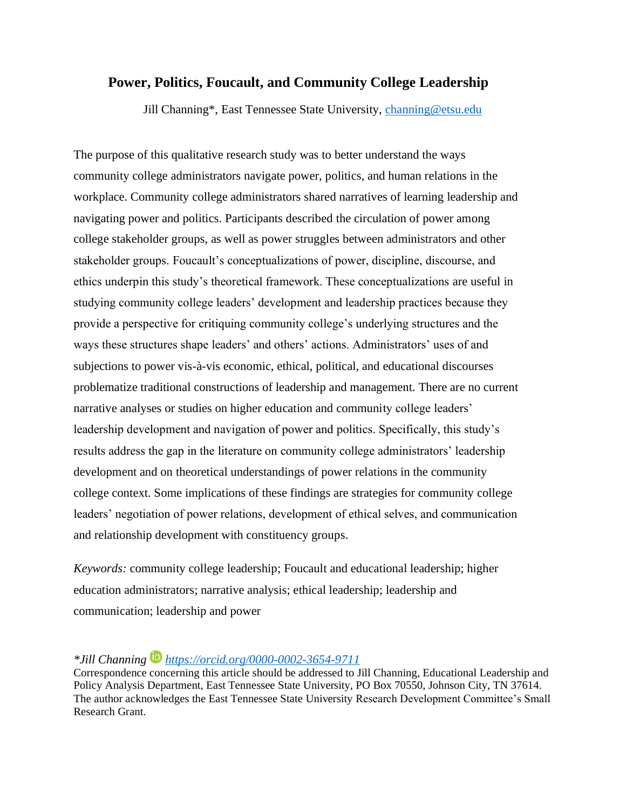# **Power, Politics, Foucault, and Community College Leadership**

Jill Channing\*, East Tennessee State University, [channing@etsu.edu](mailto:channing@etsu.edu)

The purpose of this qualitative research study was to better understand the ways community college administrators navigate power, politics, and human relations in the workplace. Community college administrators shared narratives of learning leadership and navigating power and politics. Participants described the circulation of power among college stakeholder groups, as well as power struggles between administrators and other stakeholder groups. Foucault's conceptualizations of power, discipline, discourse, and ethics underpin this study's theoretical framework. These conceptualizations are useful in studying community college leaders' development and leadership practices because they provide a perspective for critiquing community college's underlying structures and the ways these structures shape leaders' and others' actions. Administrators' uses of and subjections to power vis-à-vis economic, ethical, political, and educational discourses problematize traditional constructions of leadership and management. There are no current narrative analyses or studies on higher education and community college leaders' leadership development and navigation of power and politics. Specifically, this study's results address the gap in the literature on community college administrators' leadership development and on theoretical understandings of power relations in the community college context. Some implications of these findings are strategies for community college leaders' negotiation of power relations, development of ethical selves, and communication and relationship development with constituency groups.

*Keywords:* community college leadership; Foucault and educational leadership; higher education administrators; narrative analysis; ethical leadership; leadership and communication; leadership and power

# *\*Jill Channing <https://orcid.org/0000-0002-3654-9711>*

Correspondence concerning this article should be addressed to Jill Channing, Educational Leadership and Policy Analysis Department, East Tennessee State University, PO Box 70550, Johnson City, TN 37614. The author acknowledges the East Tennessee State University Research Development Committee's Small Research Grant.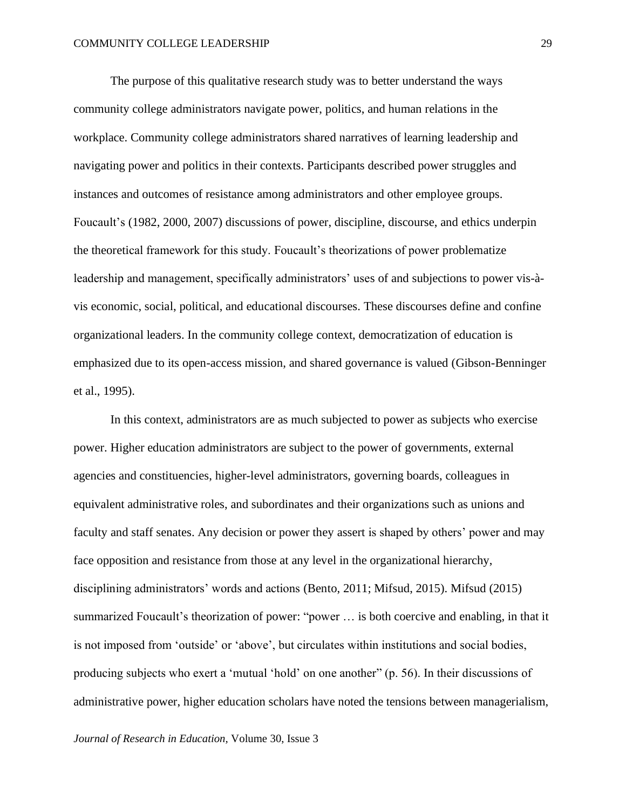The purpose of this qualitative research study was to better understand the ways community college administrators navigate power, politics, and human relations in the workplace. Community college administrators shared narratives of learning leadership and navigating power and politics in their contexts. Participants described power struggles and instances and outcomes of resistance among administrators and other employee groups. Foucault's (1982, 2000, 2007) discussions of power, discipline, discourse, and ethics underpin the theoretical framework for this study. Foucault's theorizations of power problematize leadership and management, specifically administrators' uses of and subjections to power vis-àvis economic, social, political, and educational discourses. These discourses define and confine organizational leaders. In the community college context, democratization of education is emphasized due to its open-access mission, and shared governance is valued (Gibson-Benninger et al., 1995).

In this context, administrators are as much subjected to power as subjects who exercise power. Higher education administrators are subject to the power of governments, external agencies and constituencies, higher-level administrators, governing boards, colleagues in equivalent administrative roles, and subordinates and their organizations such as unions and faculty and staff senates. Any decision or power they assert is shaped by others' power and may face opposition and resistance from those at any level in the organizational hierarchy, disciplining administrators' words and actions (Bento, 2011; Mifsud, 2015). Mifsud (2015) summarized Foucault's theorization of power: "power … is both coercive and enabling, in that it is not imposed from 'outside' or 'above', but circulates within institutions and social bodies, producing subjects who exert a 'mutual 'hold' on one another" (p. 56). In their discussions of administrative power, higher education scholars have noted the tensions between managerialism,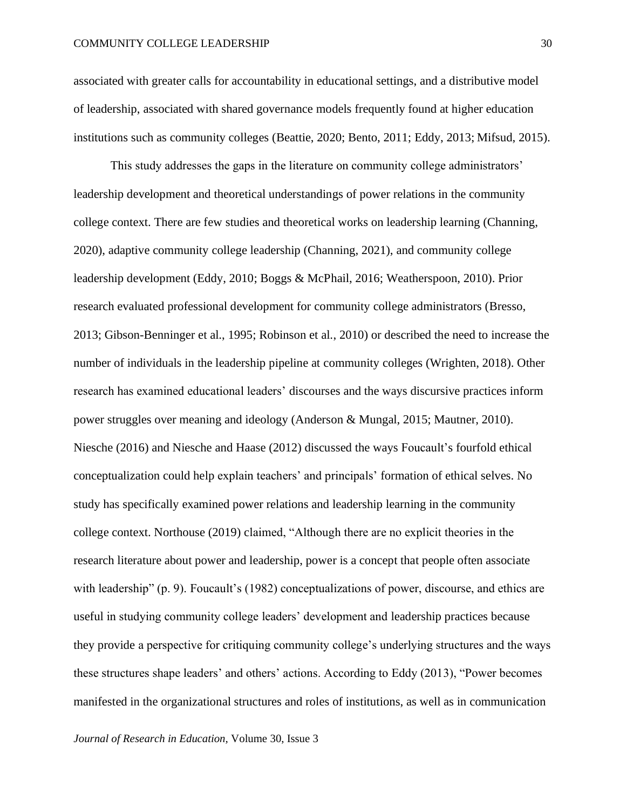associated with greater calls for accountability in educational settings, and a distributive model of leadership, associated with shared governance models frequently found at higher education institutions such as community colleges (Beattie, 2020; Bento, 2011; Eddy, 2013; Mifsud, 2015).

This study addresses the gaps in the literature on community college administrators' leadership development and theoretical understandings of power relations in the community college context. There are few studies and theoretical works on leadership learning (Channing, 2020), adaptive community college leadership (Channing, 2021), and community college leadership development (Eddy, 2010; Boggs & McPhail, 2016; Weatherspoon, 2010). Prior research evaluated professional development for community college administrators (Bresso, 2013; Gibson-Benninger et al., 1995; Robinson et al., 2010) or described the need to increase the number of individuals in the leadership pipeline at community colleges (Wrighten, 2018). Other research has examined educational leaders' discourses and the ways discursive practices inform power struggles over meaning and ideology (Anderson & Mungal, 2015; Mautner, 2010). Niesche (2016) and Niesche and Haase (2012) discussed the ways Foucault's fourfold ethical conceptualization could help explain teachers' and principals' formation of ethical selves. No study has specifically examined power relations and leadership learning in the community college context. Northouse (2019) claimed, "Although there are no explicit theories in the research literature about power and leadership, power is a concept that people often associate with leadership" (p. 9). Foucault's (1982) conceptualizations of power, discourse, and ethics are useful in studying community college leaders' development and leadership practices because they provide a perspective for critiquing community college's underlying structures and the ways these structures shape leaders' and others' actions. According to Eddy (2013), "Power becomes manifested in the organizational structures and roles of institutions, as well as in communication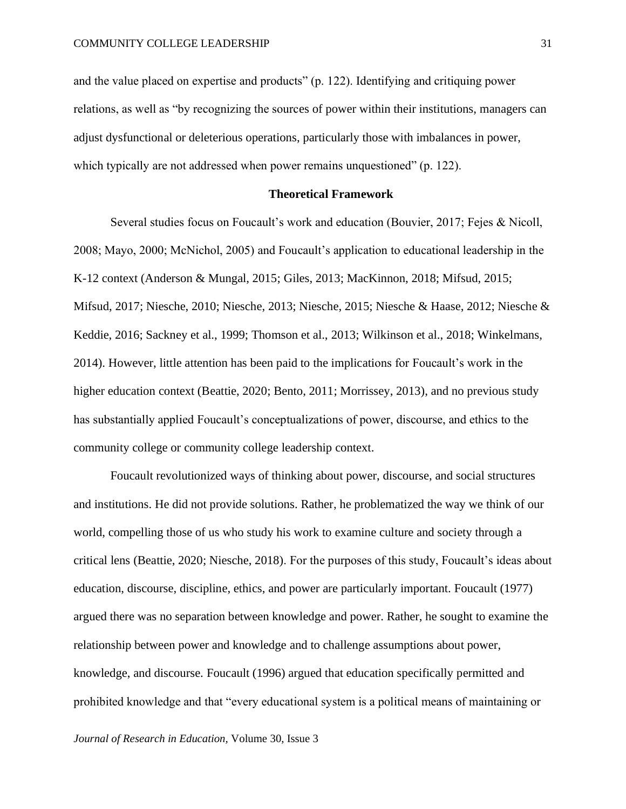and the value placed on expertise and products" (p. 122). Identifying and critiquing power relations, as well as "by recognizing the sources of power within their institutions, managers can adjust dysfunctional or deleterious operations, particularly those with imbalances in power, which typically are not addressed when power remains unquestioned" (p. 122).

# **Theoretical Framework**

Several studies focus on Foucault's work and education (Bouvier, 2017; Fejes & Nicoll, 2008; Mayo, 2000; McNichol, 2005) and Foucault's application to educational leadership in the K-12 context (Anderson & Mungal, 2015; Giles, 2013; MacKinnon, 2018; Mifsud, 2015; Mifsud, 2017; Niesche, 2010; Niesche, 2013; Niesche, 2015; Niesche & Haase, 2012; Niesche & Keddie, 2016; Sackney et al., 1999; Thomson et al., 2013; Wilkinson et al., 2018; Winkelmans, 2014). However, little attention has been paid to the implications for Foucault's work in the higher education context (Beattie, 2020; Bento, 2011; Morrissey, 2013), and no previous study has substantially applied Foucault's conceptualizations of power, discourse, and ethics to the community college or community college leadership context.

Foucault revolutionized ways of thinking about power, discourse, and social structures and institutions. He did not provide solutions. Rather, he problematized the way we think of our world, compelling those of us who study his work to examine culture and society through a critical lens (Beattie, 2020; Niesche, 2018). For the purposes of this study, Foucault's ideas about education, discourse, discipline, ethics, and power are particularly important. Foucault (1977) argued there was no separation between knowledge and power. Rather, he sought to examine the relationship between power and knowledge and to challenge assumptions about power, knowledge, and discourse. Foucault (1996) argued that education specifically permitted and prohibited knowledge and that "every educational system is a political means of maintaining or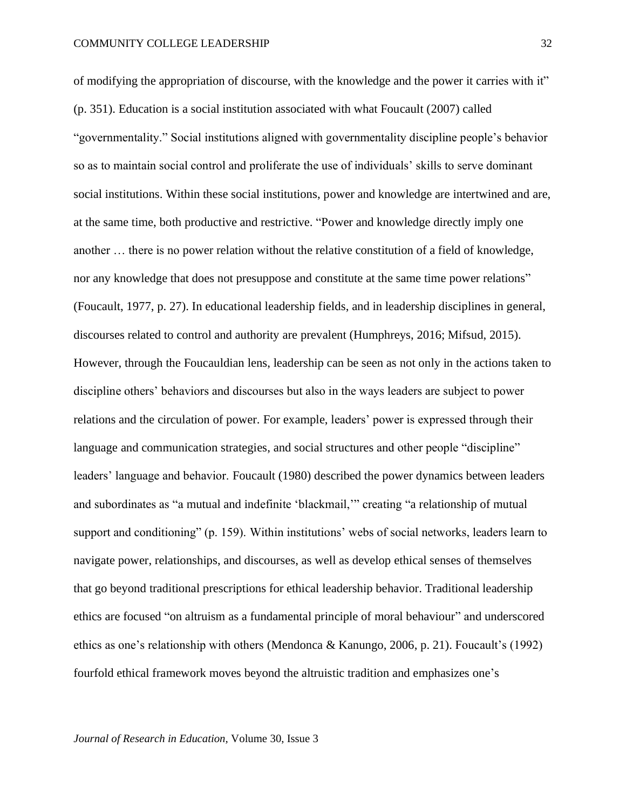of modifying the appropriation of discourse, with the knowledge and the power it carries with it" (p. 351). Education is a social institution associated with what Foucault (2007) called "governmentality." Social institutions aligned with governmentality discipline people's behavior so as to maintain social control and proliferate the use of individuals' skills to serve dominant social institutions. Within these social institutions, power and knowledge are intertwined and are, at the same time, both productive and restrictive. "Power and knowledge directly imply one another … there is no power relation without the relative constitution of a field of knowledge, nor any knowledge that does not presuppose and constitute at the same time power relations" (Foucault, 1977, p. 27). In educational leadership fields, and in leadership disciplines in general, discourses related to control and authority are prevalent (Humphreys, 2016; Mifsud, 2015). However, through the Foucauldian lens, leadership can be seen as not only in the actions taken to discipline others' behaviors and discourses but also in the ways leaders are subject to power relations and the circulation of power. For example, leaders' power is expressed through their language and communication strategies, and social structures and other people "discipline" leaders' language and behavior. Foucault (1980) described the power dynamics between leaders and subordinates as "a mutual and indefinite 'blackmail,'" creating "a relationship of mutual support and conditioning" (p. 159). Within institutions' webs of social networks, leaders learn to navigate power, relationships, and discourses, as well as develop ethical senses of themselves that go beyond traditional prescriptions for ethical leadership behavior. Traditional leadership ethics are focused "on altruism as a fundamental principle of moral behaviour" and underscored ethics as one's relationship with others (Mendonca & Kanungo, 2006, p. 21). Foucault's (1992) fourfold ethical framework moves beyond the altruistic tradition and emphasizes one's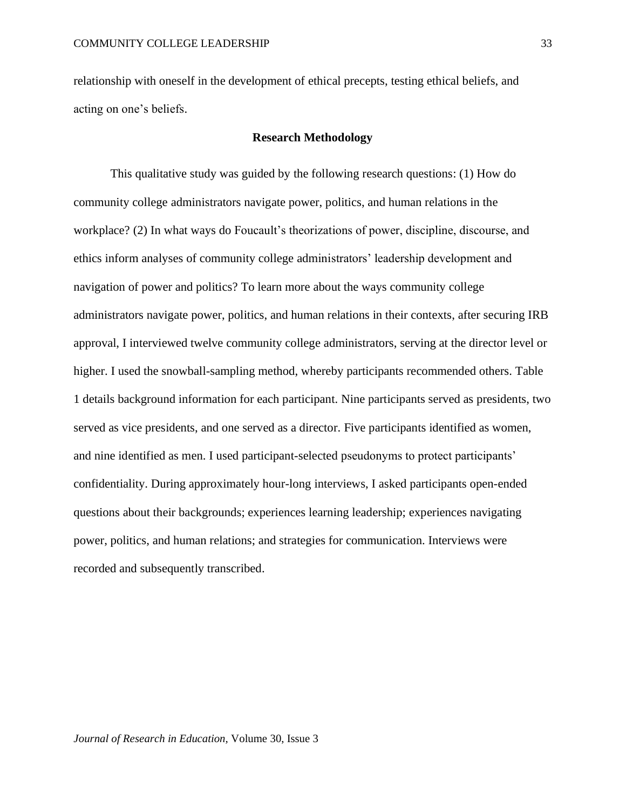relationship with oneself in the development of ethical precepts, testing ethical beliefs, and acting on one's beliefs.

# **Research Methodology**

This qualitative study was guided by the following research questions: (1) How do community college administrators navigate power, politics, and human relations in the workplace? (2) In what ways do Foucault's theorizations of power, discipline, discourse, and ethics inform analyses of community college administrators' leadership development and navigation of power and politics? To learn more about the ways community college administrators navigate power, politics, and human relations in their contexts, after securing IRB approval, I interviewed twelve community college administrators, serving at the director level or higher. I used the snowball-sampling method, whereby participants recommended others. Table 1 details background information for each participant. Nine participants served as presidents, two served as vice presidents, and one served as a director. Five participants identified as women, and nine identified as men. I used participant-selected pseudonyms to protect participants' confidentiality. During approximately hour-long interviews, I asked participants open-ended questions about their backgrounds; experiences learning leadership; experiences navigating power, politics, and human relations; and strategies for communication. Interviews were recorded and subsequently transcribed.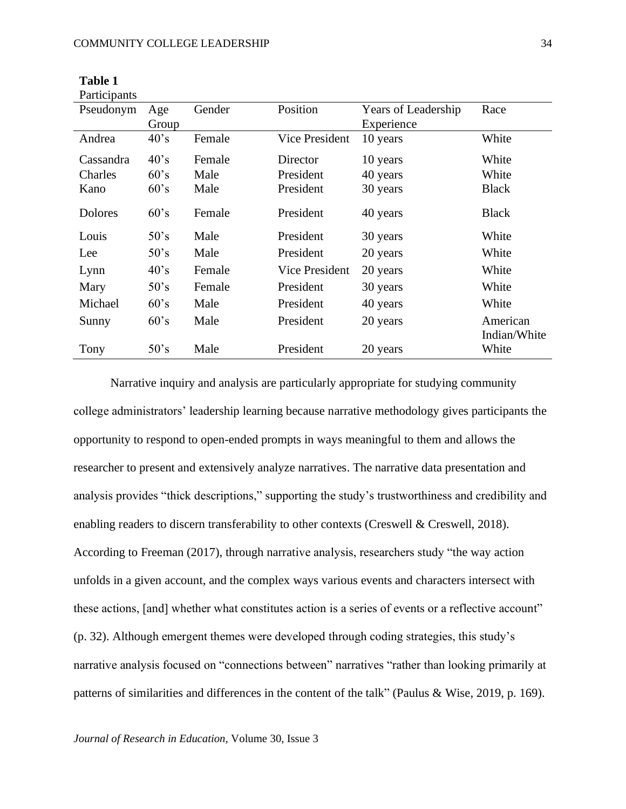| Participants   |                |        |                       |                     |                       |
|----------------|----------------|--------|-----------------------|---------------------|-----------------------|
| Pseudonym      | Age            | Gender | Position              | Years of Leadership | Race                  |
|                | Group          |        |                       | Experience          |                       |
| Andrea         | 40's           | Female | Vice President        | 10 years            | White                 |
| Cassandra      | $40^{\circ}$ s | Female | Director              | 10 years            | White                 |
| Charles        | 60's           | Male   | President             | 40 years            | White                 |
| Kano           | 60's           | Male   | President             | 30 years            | <b>Black</b>          |
| <b>Dolores</b> | 60's           | Female | President             | 40 years            | <b>Black</b>          |
| Louis          | 50's           | Male   | President             | 30 years            | White                 |
| Lee            | 50's           | Male   | President             | 20 years            | White                 |
| Lynn           | 40's           | Female | <b>Vice President</b> | 20 years            | White                 |
| Mary           | 50's           | Female | President             | 30 years            | White                 |
| Michael        | 60's           | Male   | President             | 40 years            | White                 |
| Sunny          | 60's           | Male   | President             | 20 years            | American              |
| Tony           | 50's           | Male   | President             | 20 years            | Indian/White<br>White |

**Table 1**

Narrative inquiry and analysis are particularly appropriate for studying community college administrators' leadership learning because narrative methodology gives participants the opportunity to respond to open-ended prompts in ways meaningful to them and allows the researcher to present and extensively analyze narratives. The narrative data presentation and analysis provides "thick descriptions," supporting the study's trustworthiness and credibility and enabling readers to discern transferability to other contexts (Creswell & Creswell, 2018). According to Freeman (2017), through narrative analysis, researchers study "the way action unfolds in a given account, and the complex ways various events and characters intersect with these actions, [and] whether what constitutes action is a series of events or a reflective account" (p. 32). Although emergent themes were developed through coding strategies, this study's narrative analysis focused on "connections between" narratives "rather than looking primarily at patterns of similarities and differences in the content of the talk" (Paulus & Wise, 2019, p. 169).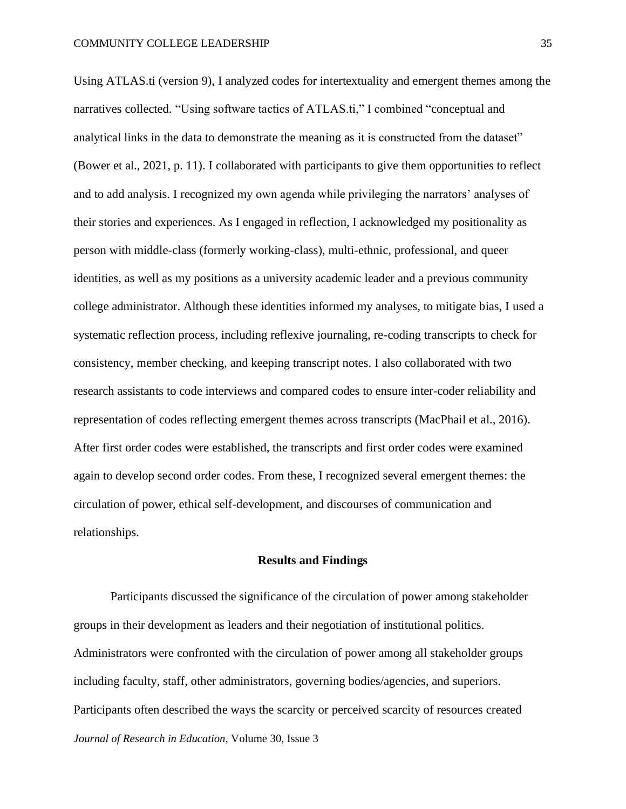Using ATLAS.ti (version 9), I analyzed codes for intertextuality and emergent themes among the narratives collected. "Using software tactics of ATLAS.ti," I combined "conceptual and analytical links in the data to demonstrate the meaning as it is constructed from the dataset" (Bower et al., 2021, p. 11). I collaborated with participants to give them opportunities to reflect and to add analysis. I recognized my own agenda while privileging the narrators' analyses of their stories and experiences. As I engaged in reflection, I acknowledged my positionality as person with middle-class (formerly working-class), multi-ethnic, professional, and queer identities, as well as my positions as a university academic leader and a previous community college administrator. Although these identities informed my analyses, to mitigate bias, I used a systematic reflection process, including reflexive journaling, re-coding transcripts to check for consistency, member checking, and keeping transcript notes. I also collaborated with two research assistants to code interviews and compared codes to ensure inter-coder reliability and representation of codes reflecting emergent themes across transcripts (MacPhail et al., 2016). After first order codes were established, the transcripts and first order codes were examined again to develop second order codes. From these, I recognized several emergent themes: the circulation of power, ethical self-development, and discourses of communication and relationships.

### **Results and Findings**

*Journal of Research in Education,* Volume 30, Issue 3 Participants discussed the significance of the circulation of power among stakeholder groups in their development as leaders and their negotiation of institutional politics. Administrators were confronted with the circulation of power among all stakeholder groups including faculty, staff, other administrators, governing bodies/agencies, and superiors. Participants often described the ways the scarcity or perceived scarcity of resources created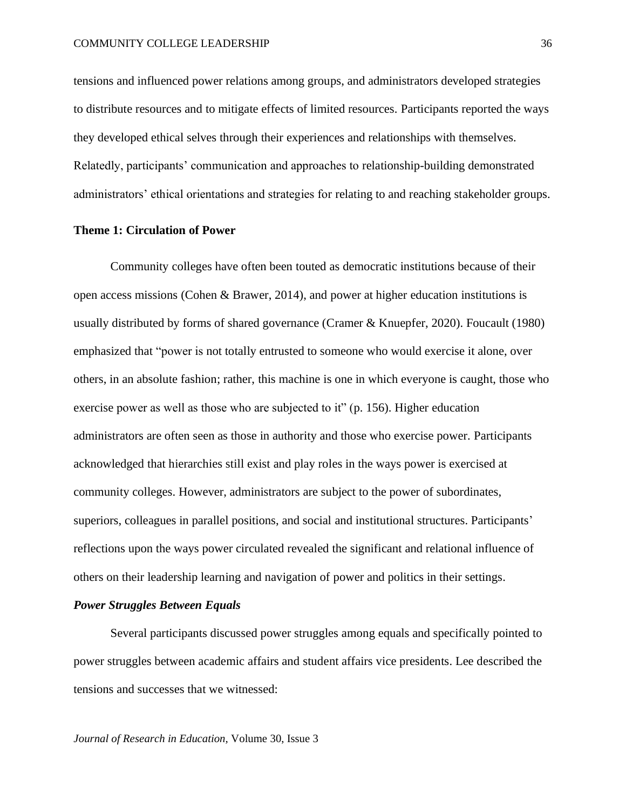tensions and influenced power relations among groups, and administrators developed strategies to distribute resources and to mitigate effects of limited resources. Participants reported the ways they developed ethical selves through their experiences and relationships with themselves. Relatedly, participants' communication and approaches to relationship-building demonstrated administrators' ethical orientations and strategies for relating to and reaching stakeholder groups.

# **Theme 1: Circulation of Power**

Community colleges have often been touted as democratic institutions because of their open access missions (Cohen & Brawer, 2014), and power at higher education institutions is usually distributed by forms of shared governance (Cramer & Knuepfer, 2020). Foucault (1980) emphasized that "power is not totally entrusted to someone who would exercise it alone, over others, in an absolute fashion; rather, this machine is one in which everyone is caught, those who exercise power as well as those who are subjected to it" (p. 156). Higher education administrators are often seen as those in authority and those who exercise power. Participants acknowledged that hierarchies still exist and play roles in the ways power is exercised at community colleges. However, administrators are subject to the power of subordinates, superiors, colleagues in parallel positions, and social and institutional structures. Participants' reflections upon the ways power circulated revealed the significant and relational influence of others on their leadership learning and navigation of power and politics in their settings.

# *Power Struggles Between Equals*

Several participants discussed power struggles among equals and specifically pointed to power struggles between academic affairs and student affairs vice presidents. Lee described the tensions and successes that we witnessed: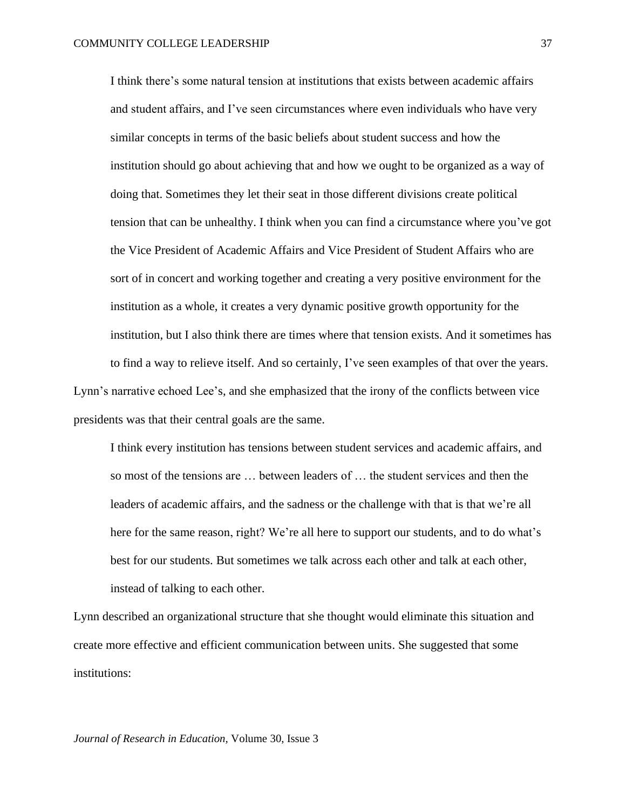I think there's some natural tension at institutions that exists between academic affairs and student affairs, and I've seen circumstances where even individuals who have very similar concepts in terms of the basic beliefs about student success and how the institution should go about achieving that and how we ought to be organized as a way of doing that. Sometimes they let their seat in those different divisions create political tension that can be unhealthy. I think when you can find a circumstance where you've got the Vice President of Academic Affairs and Vice President of Student Affairs who are sort of in concert and working together and creating a very positive environment for the institution as a whole, it creates a very dynamic positive growth opportunity for the institution, but I also think there are times where that tension exists. And it sometimes has to find a way to relieve itself. And so certainly, I've seen examples of that over the years. Lynn's narrative echoed Lee's, and she emphasized that the irony of the conflicts between vice

presidents was that their central goals are the same.

I think every institution has tensions between student services and academic affairs, and so most of the tensions are … between leaders of … the student services and then the leaders of academic affairs, and the sadness or the challenge with that is that we're all here for the same reason, right? We're all here to support our students, and to do what's best for our students. But sometimes we talk across each other and talk at each other, instead of talking to each other.

Lynn described an organizational structure that she thought would eliminate this situation and create more effective and efficient communication between units. She suggested that some institutions: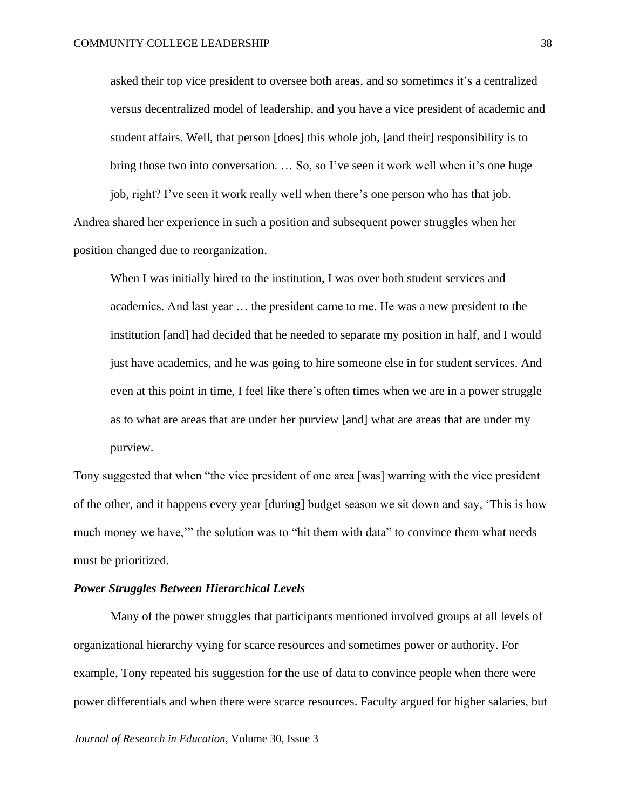asked their top vice president to oversee both areas, and so sometimes it's a centralized versus decentralized model of leadership, and you have a vice president of academic and student affairs. Well, that person [does] this whole job, [and their] responsibility is to bring those two into conversation. ... So, so I've seen it work well when it's one huge job, right? I've seen it work really well when there's one person who has that job.

Andrea shared her experience in such a position and subsequent power struggles when her position changed due to reorganization.

When I was initially hired to the institution, I was over both student services and academics. And last year … the president came to me. He was a new president to the institution [and] had decided that he needed to separate my position in half, and I would just have academics, and he was going to hire someone else in for student services. And even at this point in time, I feel like there's often times when we are in a power struggle as to what are areas that are under her purview [and] what are areas that are under my purview.

Tony suggested that when "the vice president of one area [was] warring with the vice president of the other, and it happens every year [during] budget season we sit down and say, 'This is how much money we have," the solution was to "hit them with data" to convince them what needs must be prioritized.

# *Power Struggles Between Hierarchical Levels*

Many of the power struggles that participants mentioned involved groups at all levels of organizational hierarchy vying for scarce resources and sometimes power or authority. For example, Tony repeated his suggestion for the use of data to convince people when there were power differentials and when there were scarce resources. Faculty argued for higher salaries, but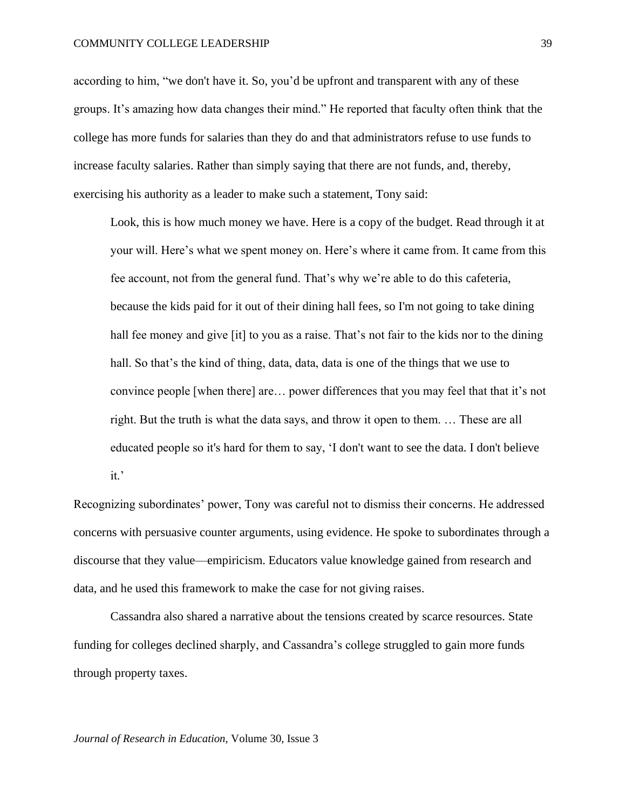according to him, "we don't have it. So, you'd be upfront and transparent with any of these groups. It's amazing how data changes their mind." He reported that faculty often think that the college has more funds for salaries than they do and that administrators refuse to use funds to increase faculty salaries. Rather than simply saying that there are not funds, and, thereby, exercising his authority as a leader to make such a statement, Tony said:

Look, this is how much money we have. Here is a copy of the budget. Read through it at your will. Here's what we spent money on. Here's where it came from. It came from this fee account, not from the general fund. That's why we're able to do this cafeteria, because the kids paid for it out of their dining hall fees, so I'm not going to take dining hall fee money and give [it] to you as a raise. That's not fair to the kids nor to the dining hall. So that's the kind of thing, data, data, data is one of the things that we use to convince people [when there] are… power differences that you may feel that that it's not right. But the truth is what the data says, and throw it open to them. … These are all educated people so it's hard for them to say, 'I don't want to see the data. I don't believe it.'

Recognizing subordinates' power, Tony was careful not to dismiss their concerns. He addressed concerns with persuasive counter arguments, using evidence. He spoke to subordinates through a discourse that they value—empiricism. Educators value knowledge gained from research and data, and he used this framework to make the case for not giving raises.

Cassandra also shared a narrative about the tensions created by scarce resources. State funding for colleges declined sharply, and Cassandra's college struggled to gain more funds through property taxes.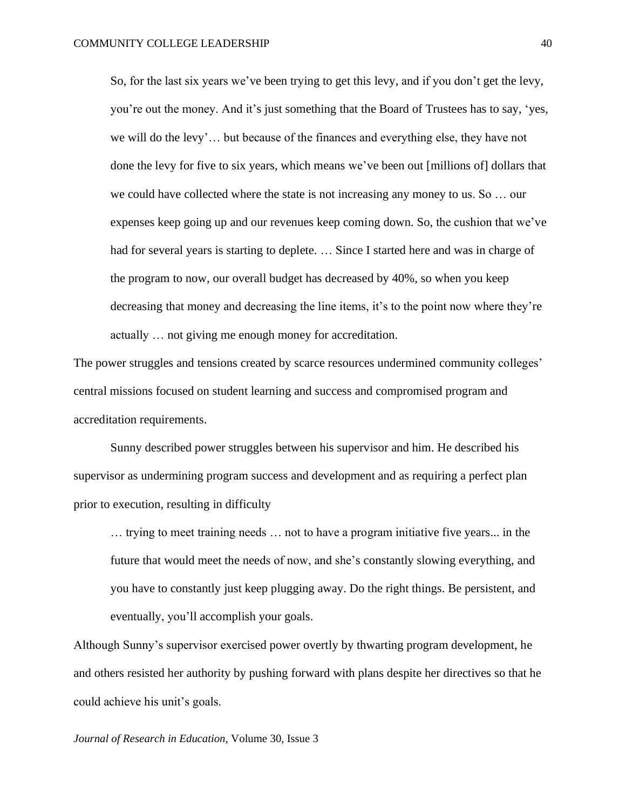So, for the last six years we've been trying to get this levy, and if you don't get the levy, you're out the money. And it's just something that the Board of Trustees has to say, 'yes, we will do the levy'… but because of the finances and everything else, they have not done the levy for five to six years, which means we've been out [millions of] dollars that we could have collected where the state is not increasing any money to us. So … our expenses keep going up and our revenues keep coming down. So, the cushion that we've had for several years is starting to deplete. ... Since I started here and was in charge of the program to now, our overall budget has decreased by 40%, so when you keep decreasing that money and decreasing the line items, it's to the point now where they're actually … not giving me enough money for accreditation.

The power struggles and tensions created by scarce resources undermined community colleges' central missions focused on student learning and success and compromised program and accreditation requirements.

Sunny described power struggles between his supervisor and him. He described his supervisor as undermining program success and development and as requiring a perfect plan prior to execution, resulting in difficulty

… trying to meet training needs … not to have a program initiative five years... in the future that would meet the needs of now, and she's constantly slowing everything, and you have to constantly just keep plugging away. Do the right things. Be persistent, and eventually, you'll accomplish your goals.

Although Sunny's supervisor exercised power overtly by thwarting program development, he and others resisted her authority by pushing forward with plans despite her directives so that he could achieve his unit's goals.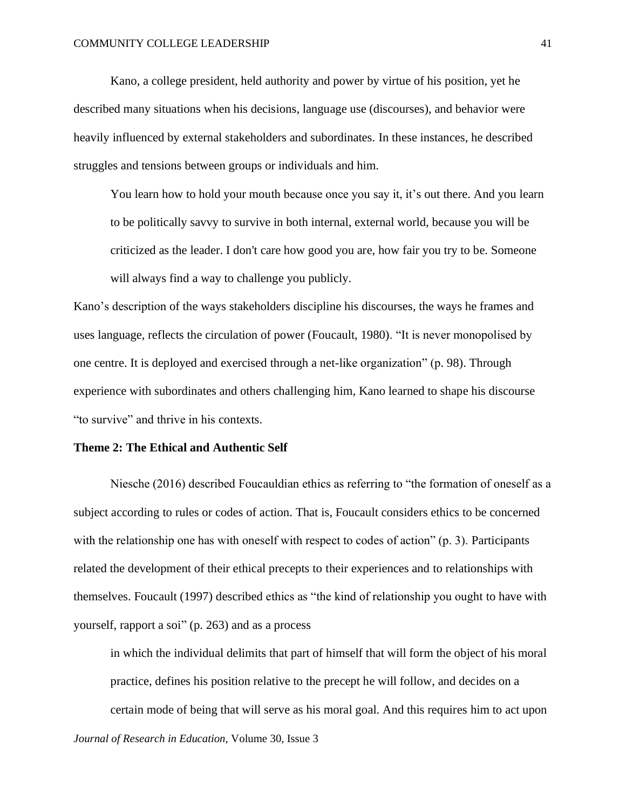Kano, a college president, held authority and power by virtue of his position, yet he described many situations when his decisions, language use (discourses), and behavior were heavily influenced by external stakeholders and subordinates. In these instances, he described struggles and tensions between groups or individuals and him.

You learn how to hold your mouth because once you say it, it's out there. And you learn to be politically savvy to survive in both internal, external world, because you will be criticized as the leader. I don't care how good you are, how fair you try to be. Someone will always find a way to challenge you publicly.

Kano's description of the ways stakeholders discipline his discourses, the ways he frames and uses language, reflects the circulation of power (Foucault, 1980). "It is never monopolised by one centre. It is deployed and exercised through a net-like organization" (p. 98). Through experience with subordinates and others challenging him, Kano learned to shape his discourse "to survive" and thrive in his contexts.

## **Theme 2: The Ethical and Authentic Self**

Niesche (2016) described Foucauldian ethics as referring to "the formation of oneself as a subject according to rules or codes of action. That is, Foucault considers ethics to be concerned with the relationship one has with oneself with respect to codes of action" (p. 3). Participants related the development of their ethical precepts to their experiences and to relationships with themselves. Foucault (1997) described ethics as "the kind of relationship you ought to have with yourself, rapport a soi" (p. 263) and as a process

in which the individual delimits that part of himself that will form the object of his moral practice, defines his position relative to the precept he will follow, and decides on a certain mode of being that will serve as his moral goal. And this requires him to act upon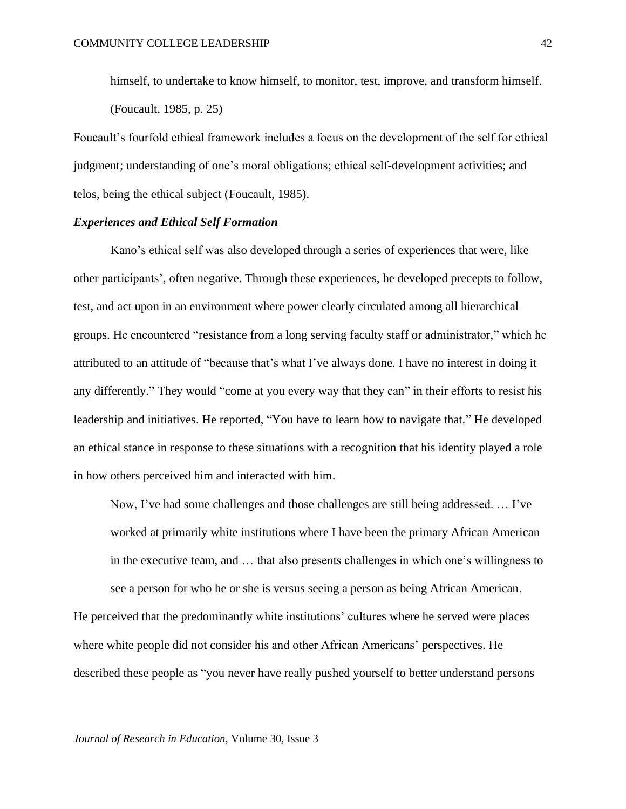himself, to undertake to know himself, to monitor, test, improve, and transform himself. (Foucault, 1985, p. 25)

Foucault's fourfold ethical framework includes a focus on the development of the self for ethical judgment; understanding of one's moral obligations; ethical self-development activities; and telos, being the ethical subject (Foucault, 1985).

# *Experiences and Ethical Self Formation*

Kano's ethical self was also developed through a series of experiences that were, like other participants', often negative. Through these experiences, he developed precepts to follow, test, and act upon in an environment where power clearly circulated among all hierarchical groups. He encountered "resistance from a long serving faculty staff or administrator," which he attributed to an attitude of "because that's what I've always done. I have no interest in doing it any differently." They would "come at you every way that they can" in their efforts to resist his leadership and initiatives. He reported, "You have to learn how to navigate that." He developed an ethical stance in response to these situations with a recognition that his identity played a role in how others perceived him and interacted with him.

Now, I've had some challenges and those challenges are still being addressed. … I've worked at primarily white institutions where I have been the primary African American in the executive team, and … that also presents challenges in which one's willingness to

see a person for who he or she is versus seeing a person as being African American. He perceived that the predominantly white institutions' cultures where he served were places where white people did not consider his and other African Americans' perspectives. He described these people as "you never have really pushed yourself to better understand persons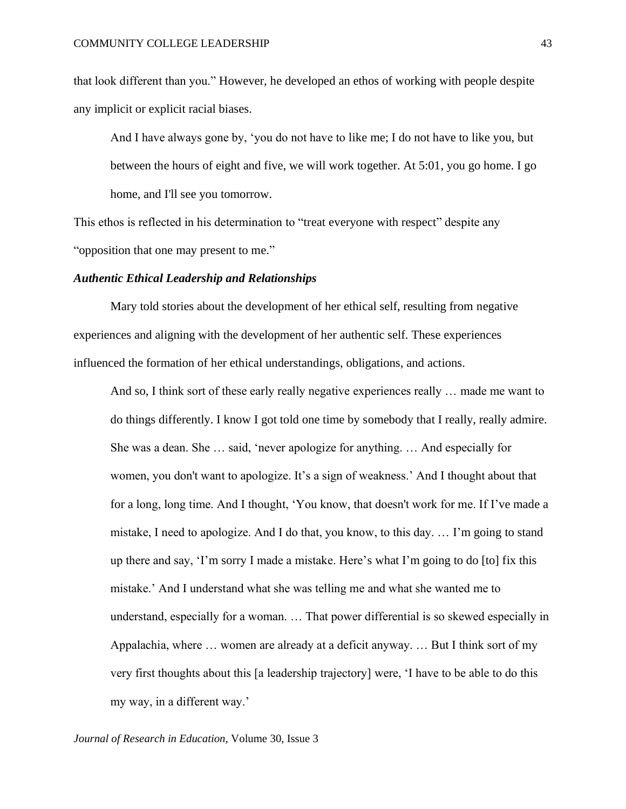that look different than you." However, he developed an ethos of working with people despite any implicit or explicit racial biases.

And I have always gone by, 'you do not have to like me; I do not have to like you, but between the hours of eight and five, we will work together. At 5:01, you go home. I go home, and I'll see you tomorrow.

This ethos is reflected in his determination to "treat everyone with respect" despite any "opposition that one may present to me."

# *Authentic Ethical Leadership and Relationships*

Mary told stories about the development of her ethical self, resulting from negative experiences and aligning with the development of her authentic self. These experiences influenced the formation of her ethical understandings, obligations, and actions.

And so, I think sort of these early really negative experiences really … made me want to do things differently. I know I got told one time by somebody that I really, really admire. She was a dean. She … said, 'never apologize for anything. … And especially for women, you don't want to apologize. It's a sign of weakness.' And I thought about that for a long, long time. And I thought, 'You know, that doesn't work for me. If I've made a mistake, I need to apologize. And I do that, you know, to this day. … I'm going to stand up there and say, 'I'm sorry I made a mistake. Here's what I'm going to do [to] fix this mistake.' And I understand what she was telling me and what she wanted me to understand, especially for a woman. … That power differential is so skewed especially in Appalachia, where … women are already at a deficit anyway. … But I think sort of my very first thoughts about this [a leadership trajectory] were, 'I have to be able to do this my way, in a different way.'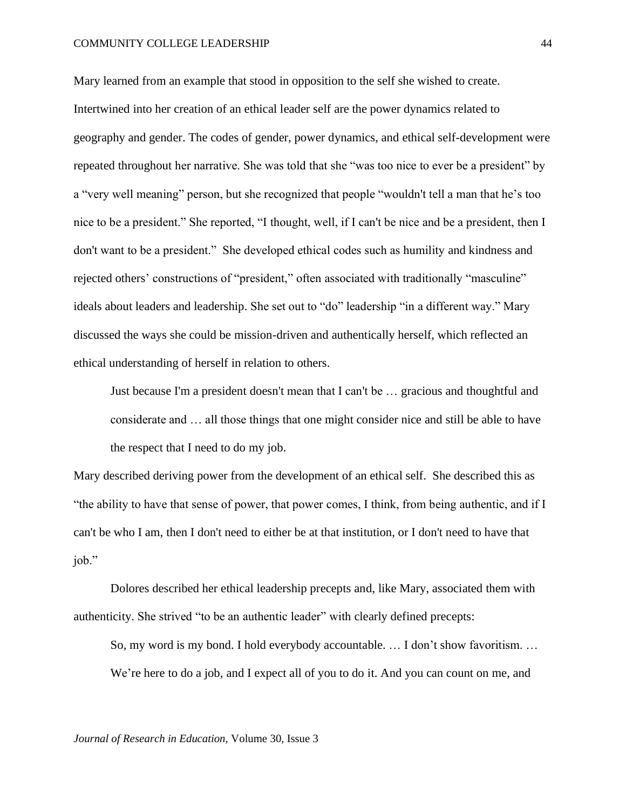#### COMMUNITY COLLEGE LEADERSHIP

Mary learned from an example that stood in opposition to the self she wished to create. Intertwined into her creation of an ethical leader self are the power dynamics related to geography and gender. The codes of gender, power dynamics, and ethical self-development were repeated throughout her narrative. She was told that she "was too nice to ever be a president" by a "very well meaning" person, but she recognized that people "wouldn't tell a man that he's too nice to be a president." She reported, "I thought, well, if I can't be nice and be a president, then I don't want to be a president." She developed ethical codes such as humility and kindness and rejected others' constructions of "president," often associated with traditionally "masculine" ideals about leaders and leadership. She set out to "do" leadership "in a different way." Mary discussed the ways she could be mission-driven and authentically herself, which reflected an ethical understanding of herself in relation to others.

Just because I'm a president doesn't mean that I can't be … gracious and thoughtful and considerate and … all those things that one might consider nice and still be able to have the respect that I need to do my job.

Mary described deriving power from the development of an ethical self. She described this as "the ability to have that sense of power, that power comes, I think, from being authentic, and if I can't be who I am, then I don't need to either be at that institution, or I don't need to have that job."

Dolores described her ethical leadership precepts and, like Mary, associated them with authenticity. She strived "to be an authentic leader" with clearly defined precepts:

So, my word is my bond. I hold everybody accountable. … I don't show favoritism. … We're here to do a job, and I expect all of you to do it. And you can count on me, and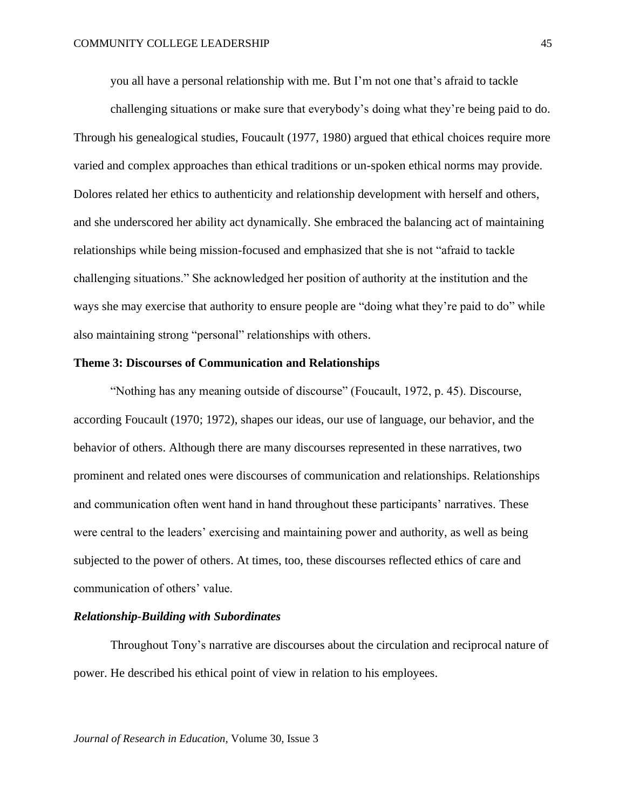you all have a personal relationship with me. But I'm not one that's afraid to tackle

challenging situations or make sure that everybody's doing what they're being paid to do. Through his genealogical studies, Foucault (1977, 1980) argued that ethical choices require more varied and complex approaches than ethical traditions or un-spoken ethical norms may provide. Dolores related her ethics to authenticity and relationship development with herself and others, and she underscored her ability act dynamically. She embraced the balancing act of maintaining relationships while being mission-focused and emphasized that she is not "afraid to tackle challenging situations." She acknowledged her position of authority at the institution and the ways she may exercise that authority to ensure people are "doing what they're paid to do" while also maintaining strong "personal" relationships with others.

# **Theme 3: Discourses of Communication and Relationships**

"Nothing has any meaning outside of discourse" (Foucault, 1972, p. 45). Discourse, according Foucault (1970; 1972), shapes our ideas, our use of language, our behavior, and the behavior of others. Although there are many discourses represented in these narratives, two prominent and related ones were discourses of communication and relationships. Relationships and communication often went hand in hand throughout these participants' narratives. These were central to the leaders' exercising and maintaining power and authority, as well as being subjected to the power of others. At times, too, these discourses reflected ethics of care and communication of others' value.

# *Relationship-Building with Subordinates*

Throughout Tony's narrative are discourses about the circulation and reciprocal nature of power. He described his ethical point of view in relation to his employees.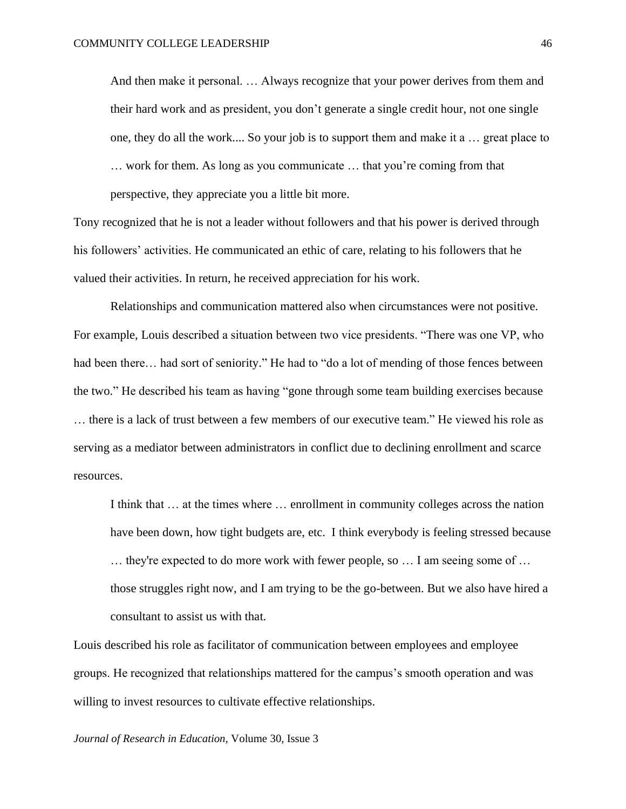And then make it personal. … Always recognize that your power derives from them and their hard work and as president, you don't generate a single credit hour, not one single one, they do all the work.... So your job is to support them and make it a … great place to … work for them. As long as you communicate … that you're coming from that perspective, they appreciate you a little bit more.

Tony recognized that he is not a leader without followers and that his power is derived through his followers' activities. He communicated an ethic of care, relating to his followers that he valued their activities. In return, he received appreciation for his work.

Relationships and communication mattered also when circumstances were not positive. For example, Louis described a situation between two vice presidents. "There was one VP, who had been there... had sort of seniority." He had to "do a lot of mending of those fences between the two." He described his team as having "gone through some team building exercises because … there is a lack of trust between a few members of our executive team." He viewed his role as serving as a mediator between administrators in conflict due to declining enrollment and scarce resources.

I think that … at the times where … enrollment in community colleges across the nation have been down, how tight budgets are, etc. I think everybody is feeling stressed because … they're expected to do more work with fewer people, so … I am seeing some of … those struggles right now, and I am trying to be the go-between. But we also have hired a consultant to assist us with that.

Louis described his role as facilitator of communication between employees and employee groups. He recognized that relationships mattered for the campus's smooth operation and was willing to invest resources to cultivate effective relationships.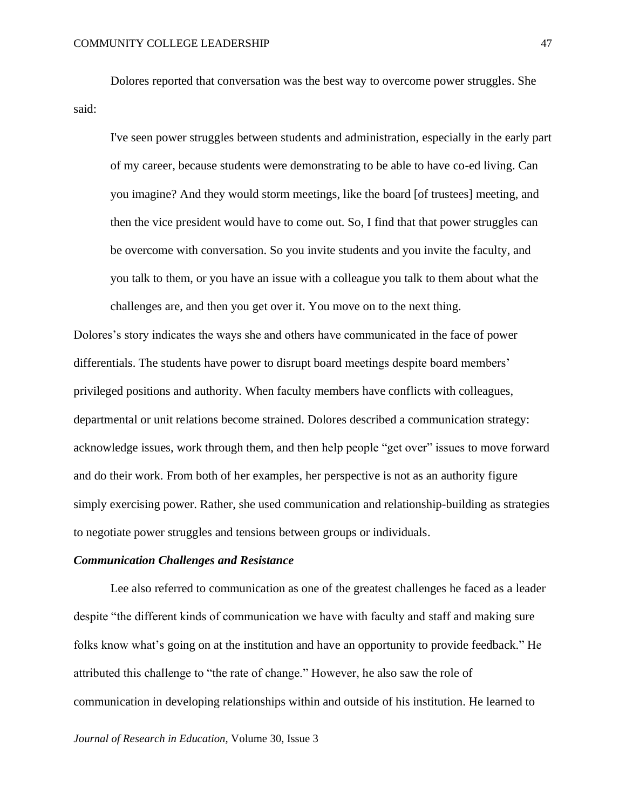Dolores reported that conversation was the best way to overcome power struggles. She said:

I've seen power struggles between students and administration, especially in the early part of my career, because students were demonstrating to be able to have co-ed living. Can you imagine? And they would storm meetings, like the board [of trustees] meeting, and then the vice president would have to come out. So, I find that that power struggles can be overcome with conversation. So you invite students and you invite the faculty, and you talk to them, or you have an issue with a colleague you talk to them about what the challenges are, and then you get over it. You move on to the next thing.

Dolores's story indicates the ways she and others have communicated in the face of power differentials. The students have power to disrupt board meetings despite board members' privileged positions and authority. When faculty members have conflicts with colleagues, departmental or unit relations become strained. Dolores described a communication strategy: acknowledge issues, work through them, and then help people "get over" issues to move forward and do their work. From both of her examples, her perspective is not as an authority figure simply exercising power. Rather, she used communication and relationship-building as strategies to negotiate power struggles and tensions between groups or individuals.

# *Communication Challenges and Resistance*

Lee also referred to communication as one of the greatest challenges he faced as a leader despite "the different kinds of communication we have with faculty and staff and making sure folks know what's going on at the institution and have an opportunity to provide feedback." He attributed this challenge to "the rate of change." However, he also saw the role of communication in developing relationships within and outside of his institution. He learned to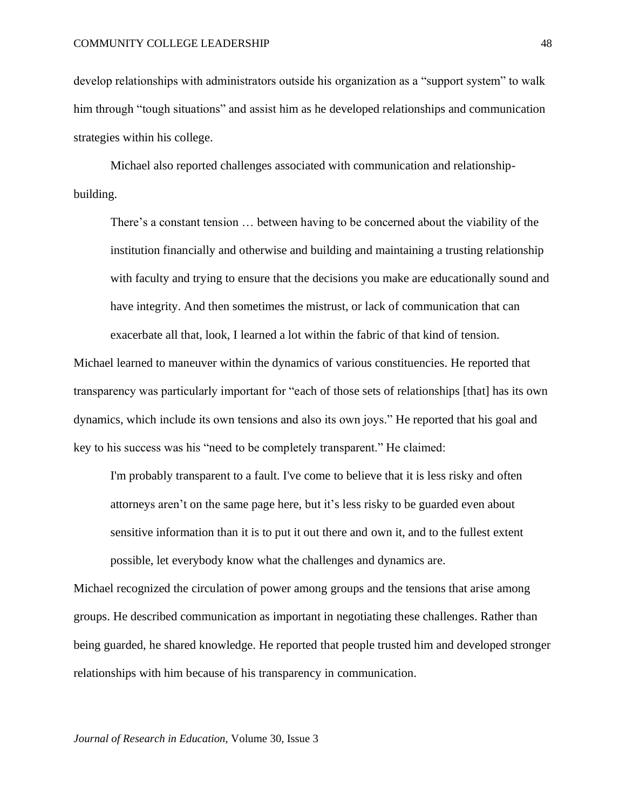develop relationships with administrators outside his organization as a "support system" to walk him through "tough situations" and assist him as he developed relationships and communication strategies within his college.

Michael also reported challenges associated with communication and relationshipbuilding.

There's a constant tension … between having to be concerned about the viability of the institution financially and otherwise and building and maintaining a trusting relationship with faculty and trying to ensure that the decisions you make are educationally sound and have integrity. And then sometimes the mistrust, or lack of communication that can exacerbate all that, look, I learned a lot within the fabric of that kind of tension.

Michael learned to maneuver within the dynamics of various constituencies. He reported that transparency was particularly important for "each of those sets of relationships [that] has its own dynamics, which include its own tensions and also its own joys." He reported that his goal and key to his success was his "need to be completely transparent." He claimed:

I'm probably transparent to a fault. I've come to believe that it is less risky and often attorneys aren't on the same page here, but it's less risky to be guarded even about sensitive information than it is to put it out there and own it, and to the fullest extent possible, let everybody know what the challenges and dynamics are.

Michael recognized the circulation of power among groups and the tensions that arise among groups. He described communication as important in negotiating these challenges. Rather than being guarded, he shared knowledge. He reported that people trusted him and developed stronger relationships with him because of his transparency in communication.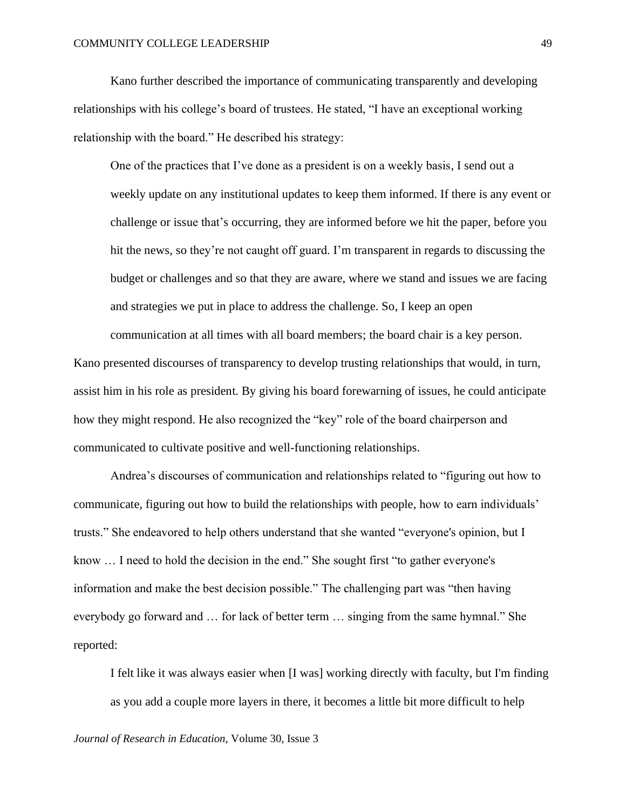Kano further described the importance of communicating transparently and developing relationships with his college's board of trustees. He stated, "I have an exceptional working relationship with the board." He described his strategy:

One of the practices that I've done as a president is on a weekly basis, I send out a weekly update on any institutional updates to keep them informed. If there is any event or challenge or issue that's occurring, they are informed before we hit the paper, before you hit the news, so they're not caught off guard. I'm transparent in regards to discussing the budget or challenges and so that they are aware, where we stand and issues we are facing and strategies we put in place to address the challenge. So, I keep an open

communication at all times with all board members; the board chair is a key person. Kano presented discourses of transparency to develop trusting relationships that would, in turn, assist him in his role as president. By giving his board forewarning of issues, he could anticipate how they might respond. He also recognized the "key" role of the board chairperson and communicated to cultivate positive and well-functioning relationships.

Andrea's discourses of communication and relationships related to "figuring out how to communicate, figuring out how to build the relationships with people, how to earn individuals' trusts." She endeavored to help others understand that she wanted "everyone's opinion, but I know … I need to hold the decision in the end." She sought first "to gather everyone's information and make the best decision possible." The challenging part was "then having everybody go forward and … for lack of better term … singing from the same hymnal." She reported:

I felt like it was always easier when [I was] working directly with faculty, but I'm finding as you add a couple more layers in there, it becomes a little bit more difficult to help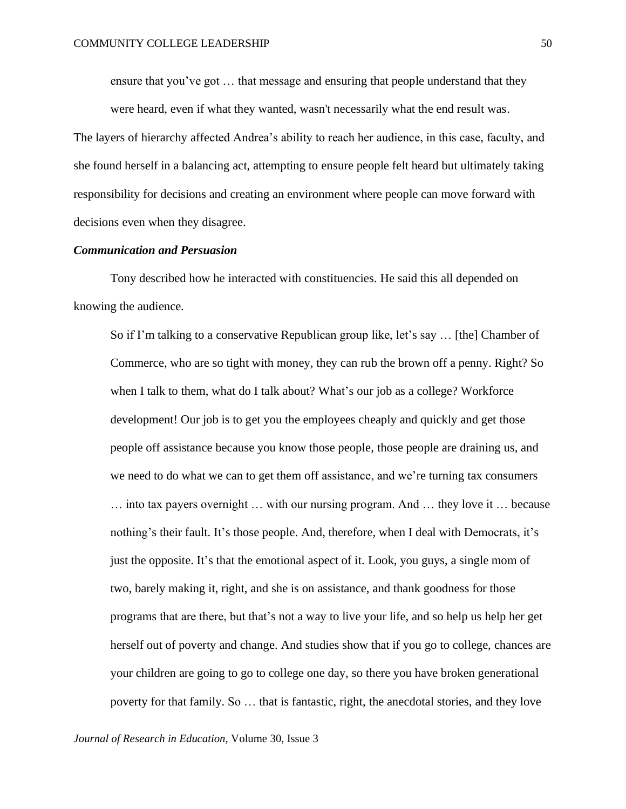ensure that you've got … that message and ensuring that people understand that they were heard, even if what they wanted, wasn't necessarily what the end result was.

The layers of hierarchy affected Andrea's ability to reach her audience, in this case, faculty, and she found herself in a balancing act, attempting to ensure people felt heard but ultimately taking responsibility for decisions and creating an environment where people can move forward with decisions even when they disagree.

# *Communication and Persuasion*

Tony described how he interacted with constituencies. He said this all depended on knowing the audience.

So if I'm talking to a conservative Republican group like, let's say … [the] Chamber of Commerce, who are so tight with money, they can rub the brown off a penny. Right? So when I talk to them, what do I talk about? What's our job as a college? Workforce development! Our job is to get you the employees cheaply and quickly and get those people off assistance because you know those people, those people are draining us, and we need to do what we can to get them off assistance, and we're turning tax consumers … into tax payers overnight … with our nursing program. And … they love it … because nothing's their fault. It's those people. And, therefore, when I deal with Democrats, it's just the opposite. It's that the emotional aspect of it. Look, you guys, a single mom of two, barely making it, right, and she is on assistance, and thank goodness for those programs that are there, but that's not a way to live your life, and so help us help her get herself out of poverty and change. And studies show that if you go to college, chances are your children are going to go to college one day, so there you have broken generational poverty for that family. So … that is fantastic, right, the anecdotal stories, and they love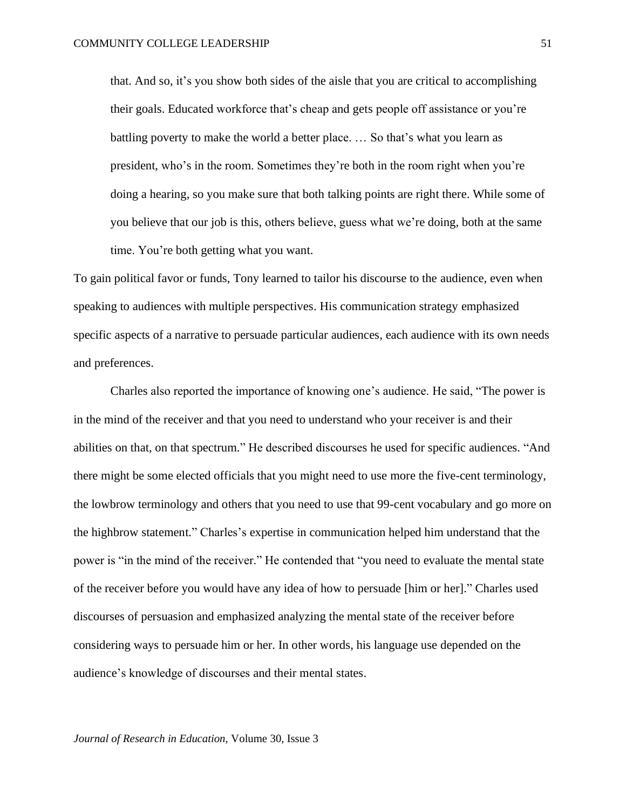that. And so, it's you show both sides of the aisle that you are critical to accomplishing their goals. Educated workforce that's cheap and gets people off assistance or you're battling poverty to make the world a better place. … So that's what you learn as president, who's in the room. Sometimes they're both in the room right when you're doing a hearing, so you make sure that both talking points are right there. While some of you believe that our job is this, others believe, guess what we're doing, both at the same time. You're both getting what you want.

To gain political favor or funds, Tony learned to tailor his discourse to the audience, even when speaking to audiences with multiple perspectives. His communication strategy emphasized specific aspects of a narrative to persuade particular audiences, each audience with its own needs and preferences.

Charles also reported the importance of knowing one's audience. He said, "The power is in the mind of the receiver and that you need to understand who your receiver is and their abilities on that, on that spectrum." He described discourses he used for specific audiences. "And there might be some elected officials that you might need to use more the five-cent terminology, the lowbrow terminology and others that you need to use that 99-cent vocabulary and go more on the highbrow statement." Charles's expertise in communication helped him understand that the power is "in the mind of the receiver." He contended that "you need to evaluate the mental state of the receiver before you would have any idea of how to persuade [him or her]." Charles used discourses of persuasion and emphasized analyzing the mental state of the receiver before considering ways to persuade him or her. In other words, his language use depended on the audience's knowledge of discourses and their mental states.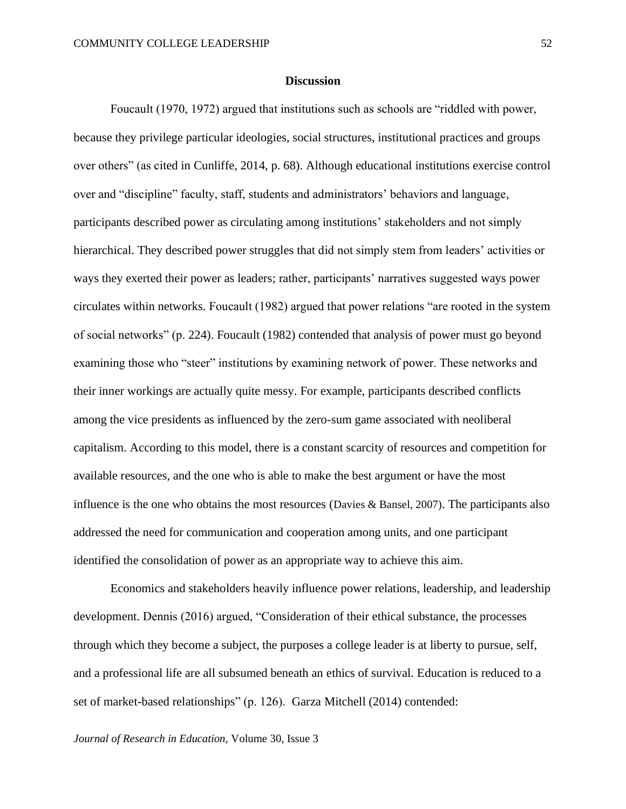# **Discussion**

Foucault (1970, 1972) argued that institutions such as schools are "riddled with power, because they privilege particular ideologies, social structures, institutional practices and groups over others" (as cited in Cunliffe, 2014, p. 68). Although educational institutions exercise control over and "discipline" faculty, staff, students and administrators' behaviors and language, participants described power as circulating among institutions' stakeholders and not simply hierarchical. They described power struggles that did not simply stem from leaders' activities or ways they exerted their power as leaders; rather, participants' narratives suggested ways power circulates within networks. Foucault (1982) argued that power relations "are rooted in the system of social networks" (p. 224). Foucault (1982) contended that analysis of power must go beyond examining those who "steer" institutions by examining network of power. These networks and their inner workings are actually quite messy. For example, participants described conflicts among the vice presidents as influenced by the zero-sum game associated with neoliberal capitalism. According to this model, there is a constant scarcity of resources and competition for available resources, and the one who is able to make the best argument or have the most influence is the one who obtains the most resources (Davies & Bansel, 2007). The participants also addressed the need for communication and cooperation among units, and one participant identified the consolidation of power as an appropriate way to achieve this aim.

Economics and stakeholders heavily influence power relations, leadership, and leadership development. Dennis (2016) argued, "Consideration of their ethical substance, the processes through which they become a subject, the purposes a college leader is at liberty to pursue, self, and a professional life are all subsumed beneath an ethics of survival. Education is reduced to a set of market-based relationships" (p. 126). Garza Mitchell (2014) contended: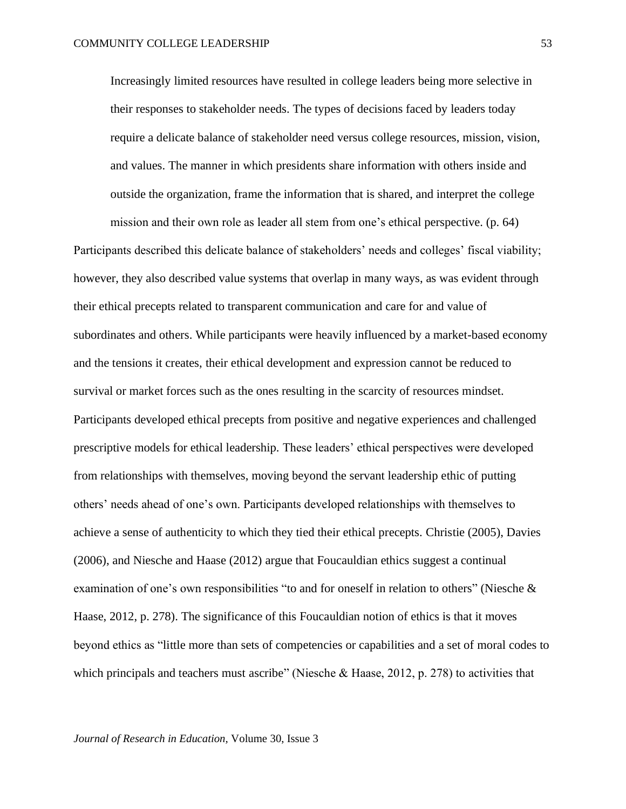Increasingly limited resources have resulted in college leaders being more selective in their responses to stakeholder needs. The types of decisions faced by leaders today require a delicate balance of stakeholder need versus college resources, mission, vision, and values. The manner in which presidents share information with others inside and outside the organization, frame the information that is shared, and interpret the college

mission and their own role as leader all stem from one's ethical perspective. (p. 64)

Participants described this delicate balance of stakeholders' needs and colleges' fiscal viability; however, they also described value systems that overlap in many ways, as was evident through their ethical precepts related to transparent communication and care for and value of subordinates and others. While participants were heavily influenced by a market-based economy and the tensions it creates, their ethical development and expression cannot be reduced to survival or market forces such as the ones resulting in the scarcity of resources mindset. Participants developed ethical precepts from positive and negative experiences and challenged prescriptive models for ethical leadership. These leaders' ethical perspectives were developed from relationships with themselves, moving beyond the servant leadership ethic of putting others' needs ahead of one's own. Participants developed relationships with themselves to achieve a sense of authenticity to which they tied their ethical precepts. Christie (2005), Davies (2006), and Niesche and Haase (2012) argue that Foucauldian ethics suggest a continual examination of one's own responsibilities "to and for oneself in relation to others" (Niesche & Haase, 2012, p. 278). The significance of this Foucauldian notion of ethics is that it moves beyond ethics as "little more than sets of competencies or capabilities and a set of moral codes to which principals and teachers must ascribe" (Niesche & Haase, 2012, p. 278) to activities that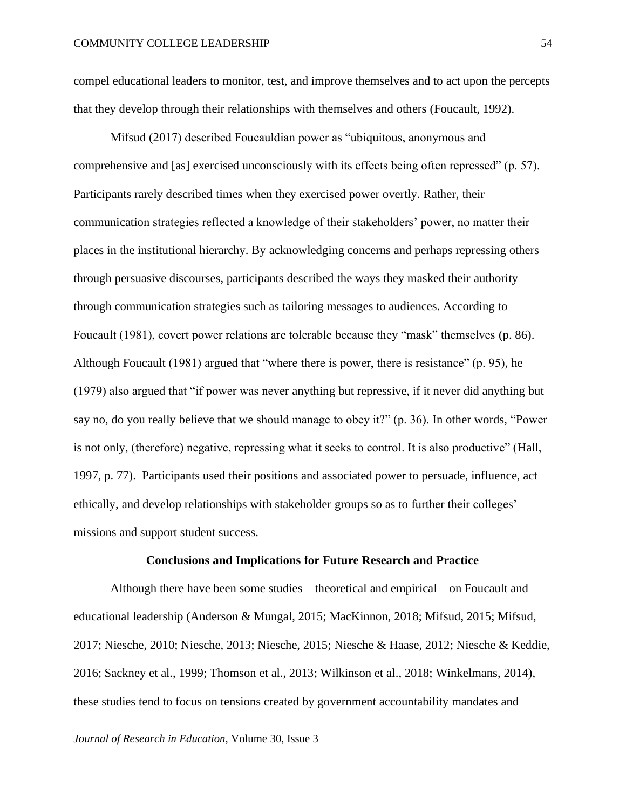compel educational leaders to monitor, test, and improve themselves and to act upon the percepts that they develop through their relationships with themselves and others (Foucault, 1992).

Mifsud (2017) described Foucauldian power as "ubiquitous, anonymous and comprehensive and [as] exercised unconsciously with its effects being often repressed" (p. 57). Participants rarely described times when they exercised power overtly. Rather, their communication strategies reflected a knowledge of their stakeholders' power, no matter their places in the institutional hierarchy. By acknowledging concerns and perhaps repressing others through persuasive discourses, participants described the ways they masked their authority through communication strategies such as tailoring messages to audiences. According to Foucault (1981), covert power relations are tolerable because they "mask" themselves (p. 86). Although Foucault (1981) argued that "where there is power, there is resistance" (p. 95), he (1979) also argued that "if power was never anything but repressive, if it never did anything but say no, do you really believe that we should manage to obey it?" (p. 36). In other words, "Power is not only, (therefore) negative, repressing what it seeks to control. It is also productive" (Hall, 1997, p. 77). Participants used their positions and associated power to persuade, influence, act ethically, and develop relationships with stakeholder groups so as to further their colleges' missions and support student success.

### **Conclusions and Implications for Future Research and Practice**

Although there have been some studies—theoretical and empirical—on Foucault and educational leadership (Anderson & Mungal, 2015; MacKinnon, 2018; Mifsud, 2015; Mifsud, 2017; Niesche, 2010; Niesche, 2013; Niesche, 2015; Niesche & Haase, 2012; Niesche & Keddie, 2016; Sackney et al., 1999; Thomson et al., 2013; Wilkinson et al., 2018; Winkelmans, 2014), these studies tend to focus on tensions created by government accountability mandates and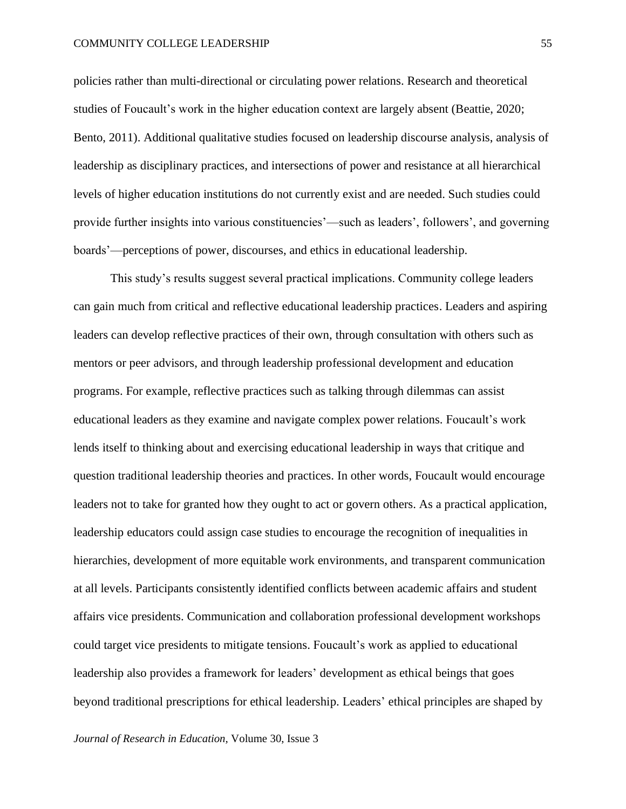#### COMMUNITY COLLEGE LEADERSHIP

policies rather than multi-directional or circulating power relations. Research and theoretical studies of Foucault's work in the higher education context are largely absent (Beattie, 2020; Bento, 2011). Additional qualitative studies focused on leadership discourse analysis, analysis of leadership as disciplinary practices, and intersections of power and resistance at all hierarchical levels of higher education institutions do not currently exist and are needed. Such studies could provide further insights into various constituencies'—such as leaders', followers', and governing boards'—perceptions of power, discourses, and ethics in educational leadership.

This study's results suggest several practical implications. Community college leaders can gain much from critical and reflective educational leadership practices. Leaders and aspiring leaders can develop reflective practices of their own, through consultation with others such as mentors or peer advisors, and through leadership professional development and education programs. For example, reflective practices such as talking through dilemmas can assist educational leaders as they examine and navigate complex power relations. Foucault's work lends itself to thinking about and exercising educational leadership in ways that critique and question traditional leadership theories and practices. In other words, Foucault would encourage leaders not to take for granted how they ought to act or govern others. As a practical application, leadership educators could assign case studies to encourage the recognition of inequalities in hierarchies, development of more equitable work environments, and transparent communication at all levels. Participants consistently identified conflicts between academic affairs and student affairs vice presidents. Communication and collaboration professional development workshops could target vice presidents to mitigate tensions. Foucault's work as applied to educational leadership also provides a framework for leaders' development as ethical beings that goes beyond traditional prescriptions for ethical leadership. Leaders' ethical principles are shaped by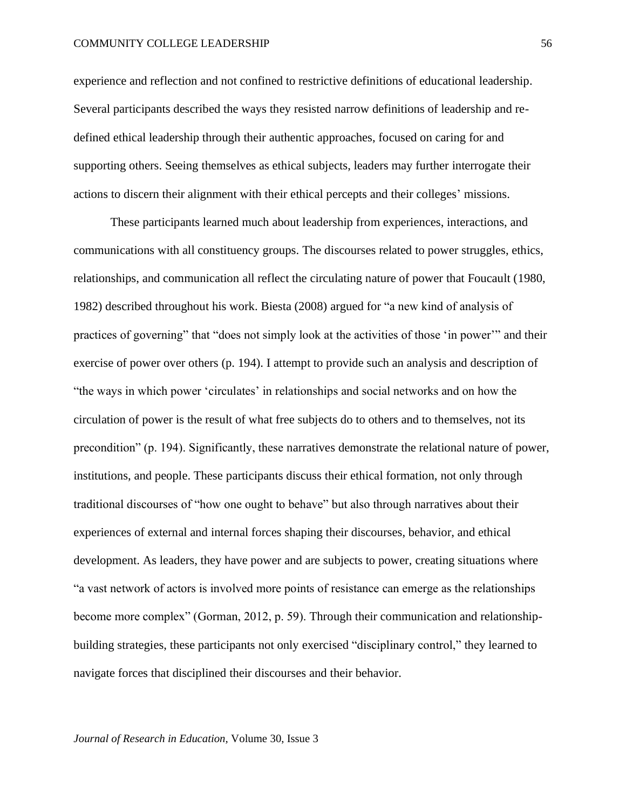#### COMMUNITY COLLEGE LEADERSHIP

experience and reflection and not confined to restrictive definitions of educational leadership. Several participants described the ways they resisted narrow definitions of leadership and redefined ethical leadership through their authentic approaches, focused on caring for and supporting others. Seeing themselves as ethical subjects, leaders may further interrogate their actions to discern their alignment with their ethical percepts and their colleges' missions.

These participants learned much about leadership from experiences, interactions, and communications with all constituency groups. The discourses related to power struggles, ethics, relationships, and communication all reflect the circulating nature of power that Foucault (1980, 1982) described throughout his work. Biesta (2008) argued for "a new kind of analysis of practices of governing" that "does not simply look at the activities of those 'in power'" and their exercise of power over others (p. 194). I attempt to provide such an analysis and description of "the ways in which power 'circulates' in relationships and social networks and on how the circulation of power is the result of what free subjects do to others and to themselves, not its precondition" (p. 194). Significantly, these narratives demonstrate the relational nature of power, institutions, and people. These participants discuss their ethical formation, not only through traditional discourses of "how one ought to behave" but also through narratives about their experiences of external and internal forces shaping their discourses, behavior, and ethical development. As leaders, they have power and are subjects to power, creating situations where "a vast network of actors is involved more points of resistance can emerge as the relationships become more complex" (Gorman, 2012, p. 59). Through their communication and relationshipbuilding strategies, these participants not only exercised "disciplinary control," they learned to navigate forces that disciplined their discourses and their behavior.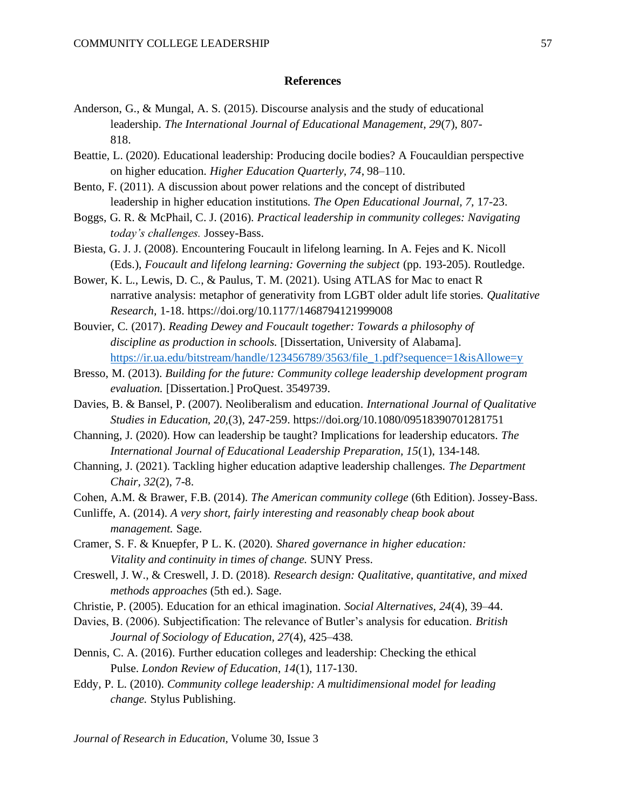# **References**

- Anderson, G., & Mungal, A. S. (2015). Discourse analysis and the study of educational leadership. *The International Journal of Educational Management, 29*(7), 807- 818.
- Beattie, L. (2020). Educational leadership: Producing docile bodies? A Foucauldian perspective on higher education. *Higher Education Quarterly, 74*, 98–110.
- Bento, F. (2011). A discussion about power relations and the concept of distributed leadership in higher education institutions. *The Open Educational Journal, 7,* 17-23.
- Boggs, G. R. & McPhail, C. J. (2016). *Practical leadership in community colleges: Navigating today's challenges.* Jossey-Bass.
- Biesta, G. J. J. (2008). Encountering Foucault in lifelong learning. In A. Fejes and K. Nicoll (Eds.), *Foucault and lifelong learning: Governing the subject* (pp. 193-205). Routledge.
- Bower, K. L., Lewis, D. C., & Paulus, T. M. (2021). Using ATLAS for Mac to enact R narrative analysis: metaphor of generativity from LGBT older adult life stories. *Qualitative Research,* 1-18. https://doi.org/10.1177/1468794121999008
- Bouvier, C. (2017). *Reading Dewey and Foucault together: Towards a philosophy of discipline as production in schools.* [Dissertation, University of Alabama]. [https://ir.ua.edu/bitstream/handle/123456789/3563/file\\_1.pdf?sequence=1&isAllowe=y](https://ir.ua.edu/bitstream/handle/123456789/3563/file_1.pdf?sequence=1&isAllowe=y)
- Bresso, M. (2013). *Building for the future: Community college leadership development program evaluation.* [Dissertation.] ProQuest. 3549739.
- Davies, B. & Bansel, P. (2007). Neoliberalism and education. *International Journal of Qualitative Studies in Education, 20,*(3), 247-259. https://doi.org/10.1080/09518390701281751
- Channing, J. (2020). How can leadership be taught? Implications for leadership educators. *The International Journal of Educational Leadership Preparation, 15*(1), 134-148*.*
- Channing, J. (2021). Tackling higher education adaptive leadership challenges. *The Department Chair, 32*(2), 7-8.
- Cohen, A.M. & Brawer, F.B. (2014). *The American community college* (6th Edition). Jossey-Bass.
- Cunliffe, A. (2014). *A very short, fairly interesting and reasonably cheap book about management.* Sage.
- Cramer, S. F. & Knuepfer, P L. K. (2020). *Shared governance in higher education: Vitality and continuity in times of change.* SUNY Press.
- Creswell, J. W., & Creswell, J. D. (2018)*. Research design: Qualitative, quantitative, and mixed methods approaches* (5th ed.). Sage.
- Christie, P. (2005). Education for an ethical imagination. *Social Alternatives, 24*(4), 39–44.
- Davies, B. (2006). Subjectification: The relevance of Butler's analysis for education. *British Journal of Sociology of Education, 27*(4), 425–438.
- Dennis, C. A. (2016). Further education colleges and leadership: Checking the ethical Pulse. *London Review of Education, 14*(1), 117-130.
- Eddy, P. L. (2010). *Community college leadership: A multidimensional model for leading change.* Stylus Publishing.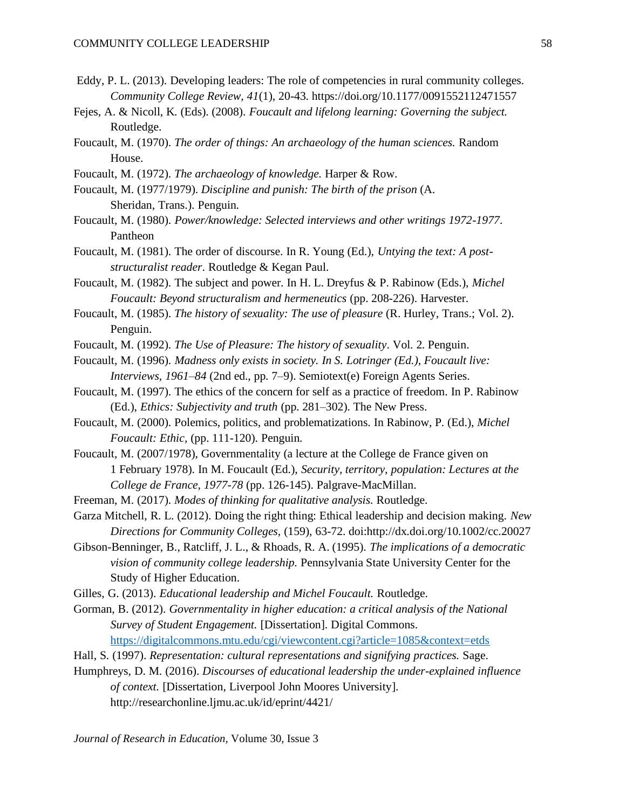- Eddy, P. L. (2013). Developing leaders: The role of competencies in rural community colleges. *Community College Review, 41*(1), 20-43. https://doi.org/10.1177/0091552112471557
- Fejes, A. & Nicoll, K. (Eds). (2008). *Foucault and lifelong learning: Governing the subject.*  Routledge.
- Foucault, M. (1970). *The order of things: An archaeology of the human sciences.* Random House.
- Foucault, M. (1972). *The archaeology of knowledge.* Harper & Row.
- Foucault, M. (1977/1979). *Discipline and punish: The birth of the prison* (A. Sheridan, Trans.). Penguin.
- Foucault, M. (1980). *Power/knowledge: Selected interviews and other writings 1972-1977*. Pantheon
- Foucault, M. (1981). The order of discourse. In R. Young (Ed.), *Untying the text: A poststructuralist reader*. Routledge & Kegan Paul.
- Foucault, M. (1982). The subject and power. In H. L. Dreyfus & P. Rabinow (Eds.), *Michel Foucault: Beyond structuralism and hermeneutics* (pp. 208-226). Harvester.
- Foucault, M. (1985). *The history of sexuality: The use of pleasure* (R. Hurley, Trans.; Vol. 2). Penguin.
- Foucault, M. (1992). *The Use of Pleasure: The history of sexuality*. Vol. 2. Penguin.
- Foucault, M. (1996). *Madness only exists in society. In S. Lotringer (Ed.), Foucault live: Interviews, 1961–84* (2nd ed., pp. 7–9). Semiotext(e) Foreign Agents Series.
- Foucault, M. (1997). The ethics of the concern for self as a practice of freedom. In P. Rabinow (Ed.), *Ethics: Subjectivity and truth* (pp. 281–302). The New Press.
- Foucault, M. (2000). Polemics, politics, and problematizations. In Rabinow, P. (Ed.), *Michel Foucault: Ethic,* (pp. 111-120). Penguin.
- Foucault, M. (2007/1978), Governmentality (a lecture at the College de France given on 1 February 1978). In M. Foucault (Ed.), *Security, territory, population: Lectures at the College de France, 1977-78* (pp. 126-145). Palgrave-MacMillan.
- Freeman, M. (2017). *Modes of thinking for qualitative analysis.* Routledge.
- Garza Mitchell, R. L. (2012). Doing the right thing: Ethical leadership and decision making. *New Directions for Community Colleges,* (159), 63-72. doi:http://dx.doi.org/10.1002/cc.20027
- Gibson-Benninger, B., Ratcliff, J. L., & Rhoads, R. A. (1995). *The implications of a democratic vision of community college leadership.* Pennsylvania State University Center for the Study of Higher Education.
- Gilles, G. (2013). *Educational leadership and Michel Foucault.* Routledge.
- Gorman, B. (2012). *Governmentality in higher education: a critical analysis of the National Survey of Student Engagement.* [Dissertation]. Digital Commons. <https://digitalcommons.mtu.edu/cgi/viewcontent.cgi?article=1085&context=etds>
	-
- Hall, S. (1997). *Representation: cultural representations and signifying practices.* Sage.
- Humphreys, D. M. (2016). *Discourses of educational leadership the under-explained influence of context.* [Dissertation, Liverpool John Moores University]. http://researchonline.ljmu.ac.uk/id/eprint/4421/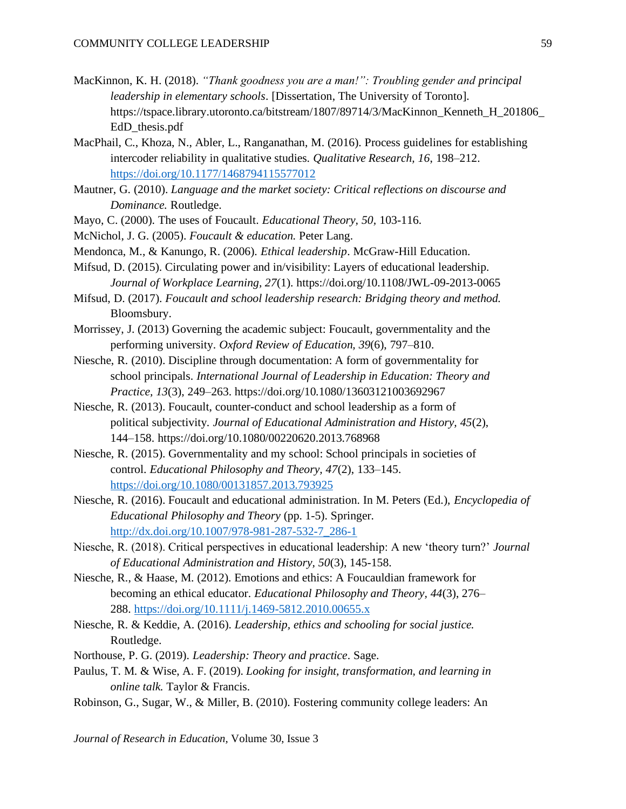- MacKinnon, K. H. (2018). *"Thank goodness you are a man!": Troubling gender and principal leadership in elementary schools*. [Dissertation, The University of Toronto]. https://tspace.library.utoronto.ca/bitstream/1807/89714/3/MacKinnon\_Kenneth\_H\_201806\_ EdD thesis.pdf
- MacPhail, C., Khoza, N., Abler, L., Ranganathan, M. (2016). Process guidelines for establishing intercoder reliability in qualitative studies. *Qualitative Research, 16*, 198–212. <https://doi.org/10.1177/1468794115577012>
- Mautner, G. (2010). *Language and the market society: Critical reflections on discourse and Dominance.* Routledge.
- Mayo, C. (2000). The uses of Foucault. *Educational Theory, 50,* 103-116.
- McNichol, J. G. (2005). *Foucault & education.* Peter Lang.
- Mendonca, M., & Kanungo, R. (2006). *Ethical leadership*. McGraw-Hill Education.
- Mifsud, D. (2015). Circulating power and in/visibility: Layers of educational leadership. *Journal of Workplace Learning, 27*(1). https://doi.org/10.1108/JWL-09-2013-0065
- Mifsud, D. (2017). *Foucault and school leadership research: Bridging theory and method.* Bloomsbury.
- Morrissey, J. (2013) Governing the academic subject: Foucault, governmentality and the performing university. *Oxford Review of Education, 39*(6), 797–810.
- Niesche, R. (2010). Discipline through documentation: A form of governmentality for school principals. *International Journal of Leadership in Education: Theory and Practice, 13*(3), 249–263. https://doi.org/10.1080/13603121003692967
- Niesche, R. (2013). Foucault, counter-conduct and school leadership as a form of political subjectivity. *Journal of Educational Administration and History, 45*(2), 144–158. https://doi.org/10.1080/00220620.2013.768968
- Niesche, R. (2015). Governmentality and my school: School principals in societies of control. *Educational Philosophy and Theory, 47*(2), 133–145. <https://doi.org/10.1080/00131857.2013.793925>
- Niesche, R. (2016). Foucault and educational administration. In M. Peters (Ed.), *Encyclopedia of Educational Philosophy and Theory* (pp. 1-5). Springer. [http://dx.doi.org/10.1007/978-981-287-532-7\\_286-1](http://dx.doi.org/10.1007/978-981-287-532-7_286-1)
- Niesche, R. (2018). Critical perspectives in educational leadership: A new 'theory turn?' *Journal of Educational Administration and History, 50*(3), 145-158.
- Niesche, R., & Haase, M. (2012). Emotions and ethics: A Foucauldian framework for becoming an ethical educator. *Educational Philosophy and Theory, 44*(3), 276– 288.<https://doi.org/10.1111/j.1469-5812.2010.00655.x>
- Niesche, R. & Keddie, A. (2016). *Leadership, ethics and schooling for social justice.* Routledge.
- Northouse, P. G. (2019). *Leadership: Theory and practice*. Sage.
- Paulus, T. M. & Wise, A. F. (2019). *Looking for insight, transformation, and learning in online talk.* Taylor & Francis.
- Robinson, G., Sugar, W., & Miller, B. (2010). Fostering community college leaders: An